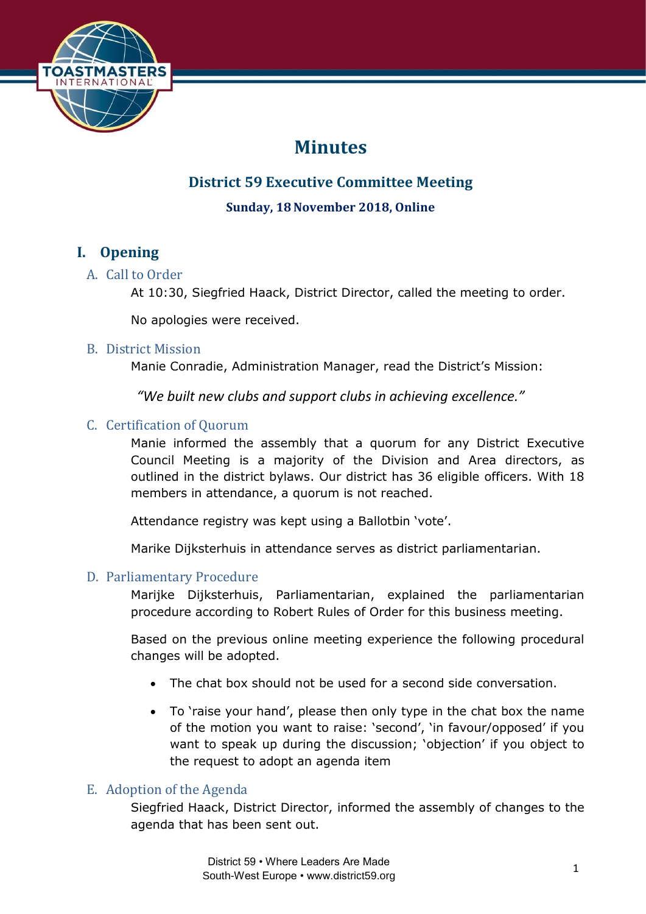

# **Minutes**

## **District 59 Executive Committee Meeting**

## **Sunday, 18November 2018, Online**

## **I. Opening**

## A. Call to Order

At 10:30, Siegfried Haack, District Director, called the meeting to order.

No apologies were received.

## B. District Mission

Manie Conradie, Administration Manager, read the District's Mission:

*"We built new clubs and support clubs in achieving excellence."*

## C. Certification of Quorum

Manie informed the assembly that a quorum for any District Executive Council Meeting is a majority of the Division and Area directors, as outlined in the district bylaws. Our district has 36 eligible officers. With 18 members in attendance, a quorum is not reached.

Attendance registry was kept using a Ballotbin 'vote'.

Marike Dijksterhuis in attendance serves as district parliamentarian.

### D. Parliamentary Procedure

Marijke Dijksterhuis, Parliamentarian, explained the parliamentarian procedure according to Robert Rules of Order for this business meeting.

Based on the previous online meeting experience the following procedural changes will be adopted.

- The chat box should not be used for a second side conversation.
- To 'raise your hand', please then only type in the chat box the name of the motion you want to raise: 'second', 'in favour/opposed' if you want to speak up during the discussion; 'objection' if you object to the request to adopt an agenda item

## E. Adoption of the Agenda

Siegfried Haack, District Director, informed the assembly of changes to the agenda that has been sent out.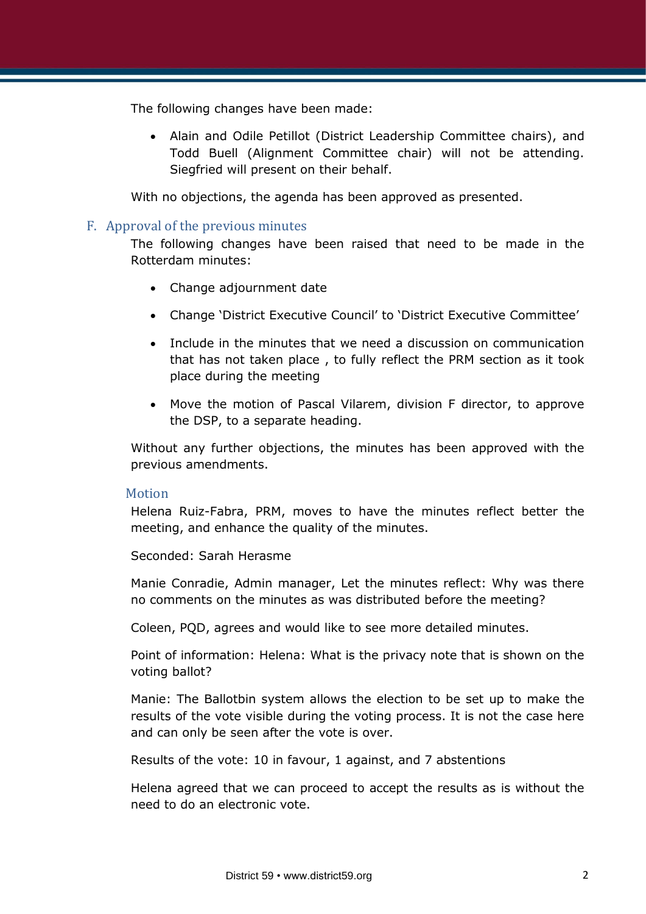The following changes have been made:

• Alain and Odile Petillot (District Leadership Committee chairs), and Todd Buell (Alignment Committee chair) will not be attending. Siegfried will present on their behalf.

With no objections, the agenda has been approved as presented.

#### F. Approval of the previous minutes

The following changes have been raised that need to be made in the Rotterdam minutes:

- Change adjournment date
- Change 'District Executive Council' to 'District Executive Committee'
- Include in the minutes that we need a discussion on communication that has not taken place , to fully reflect the PRM section as it took place during the meeting
- Move the motion of Pascal Vilarem, division F director, to approve the DSP, to a separate heading.

Without any further objections, the minutes has been approved with the previous amendments.

#### Motion

Helena Ruiz-Fabra, PRM, moves to have the minutes reflect better the meeting, and enhance the quality of the minutes.

Seconded: Sarah Herasme

Manie Conradie, Admin manager, Let the minutes reflect: Why was there no comments on the minutes as was distributed before the meeting?

Coleen, PQD, agrees and would like to see more detailed minutes.

Point of information: Helena: What is the privacy note that is shown on the voting ballot?

Manie: The Ballotbin system allows the election to be set up to make the results of the vote visible during the voting process. It is not the case here and can only be seen after the vote is over.

Results of the vote: 10 in favour, 1 against, and 7 abstentions

Helena agreed that we can proceed to accept the results as is without the need to do an electronic vote.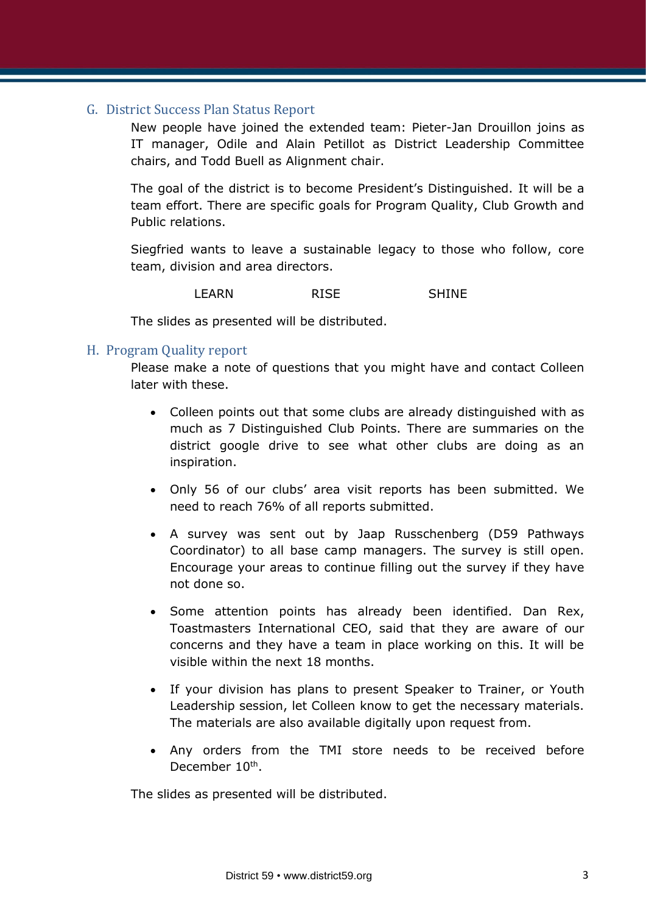#### G. District Success Plan Status Report

New people have joined the extended team: Pieter-Jan Drouillon joins as IT manager, Odile and Alain Petillot as District Leadership Committee chairs, and Todd Buell as Alignment chair.

The goal of the district is to become President's Distinguished. It will be a team effort. There are specific goals for Program Quality, Club Growth and Public relations.

Siegfried wants to leave a sustainable legacy to those who follow, core team, division and area directors.

LEARN RISE SHINE

The slides as presented will be distributed.

#### H. Program Quality report

Please make a note of questions that you might have and contact Colleen later with these.

- Colleen points out that some clubs are already distinguished with as much as 7 Distinguished Club Points. There are summaries on the district google drive to see what other clubs are doing as an inspiration.
- Only 56 of our clubs' area visit reports has been submitted. We need to reach 76% of all reports submitted.
- A survey was sent out by Jaap Russchenberg (D59 Pathways Coordinator) to all base camp managers. The survey is still open. Encourage your areas to continue filling out the survey if they have not done so.
- Some attention points has already been identified. Dan Rex, Toastmasters International CEO, said that they are aware of our concerns and they have a team in place working on this. It will be visible within the next 18 months.
- If your division has plans to present Speaker to Trainer, or Youth Leadership session, let Colleen know to get the necessary materials. The materials are also available digitally upon request from.
- Any orders from the TMI store needs to be received before December 10<sup>th</sup>.

The slides as presented will be distributed.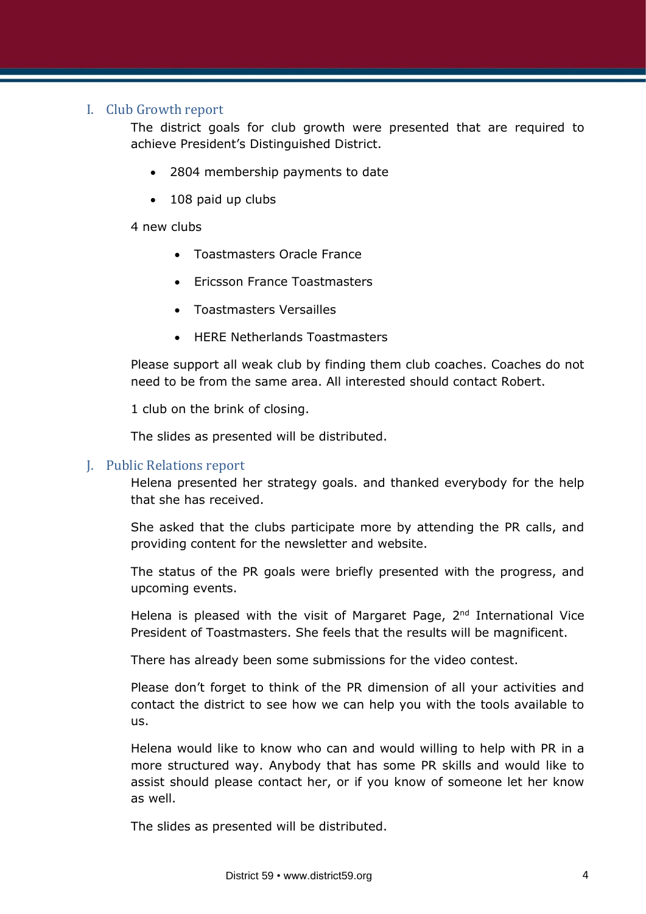#### I. Club Growth report

The district goals for club growth were presented that are required to achieve President's Distinguished District.

- 2804 membership payments to date
- 108 paid up clubs

4 new clubs

- Toastmasters Oracle France
- Ericsson France Toastmasters
- Toastmasters Versailles
- HERE Netherlands Toastmasters

Please support all weak club by finding them club coaches. Coaches do not need to be from the same area. All interested should contact Robert.

1 club on the brink of closing.

The slides as presented will be distributed.

#### J. Public Relations report

Helena presented her strategy goals. and thanked everybody for the help that she has received.

She asked that the clubs participate more by attending the PR calls, and providing content for the newsletter and website.

The status of the PR goals were briefly presented with the progress, and upcoming events.

Helena is pleased with the visit of Margaret Page,  $2<sup>nd</sup>$  International Vice President of Toastmasters. She feels that the results will be magnificent.

There has already been some submissions for the video contest.

Please don't forget to think of the PR dimension of all your activities and contact the district to see how we can help you with the tools available to us.

Helena would like to know who can and would willing to help with PR in a more structured way. Anybody that has some PR skills and would like to assist should please contact her, or if you know of someone let her know as well.

The slides as presented will be distributed.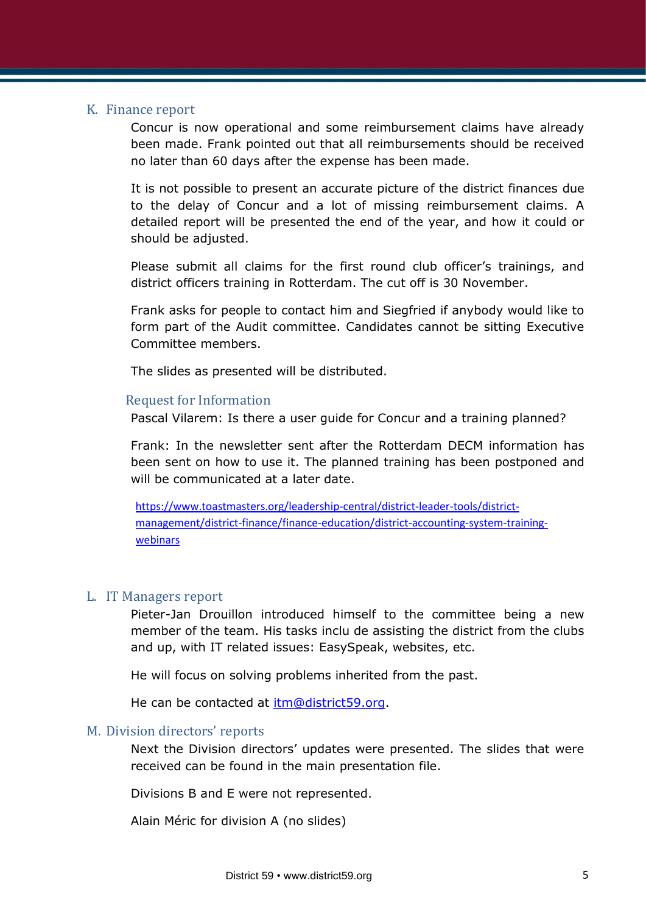#### K. Finance report

Concur is now operational and some reimbursement claims have already been made. Frank pointed out that all reimbursements should be received no later than 60 days after the expense has been made.

It is not possible to present an accurate picture of the district finances due to the delay of Concur and a lot of missing reimbursement claims. A detailed report will be presented the end of the year, and how it could or should be adjusted.

Please submit all claims for the first round club officer's trainings, and district officers training in Rotterdam. The cut off is 30 November.

Frank asks for people to contact him and Siegfried if anybody would like to form part of the Audit committee. Candidates cannot be sitting Executive Committee members.

The slides as presented will be distributed.

#### Request for Information

Pascal Vilarem: Is there a user guide for Concur and a training planned?

Frank: In the newsletter sent after the Rotterdam DECM information has been sent on how to use it. The planned training has been postponed and will be communicated at a later date.

[https://www.toastmasters.org/leadership-central/district-leader-tools/district](https://www.toastmasters.org/leadership-central/district-leader-tools/district-management/district-finance/finance-education/district-accounting-system-training-webinars)[management/district-finance/finance-education/district-accounting-system-training](https://www.toastmasters.org/leadership-central/district-leader-tools/district-management/district-finance/finance-education/district-accounting-system-training-webinars)**[webinars](https://www.toastmasters.org/leadership-central/district-leader-tools/district-management/district-finance/finance-education/district-accounting-system-training-webinars)** 

#### L. IT Managers report

Pieter-Jan Drouillon introduced himself to the committee being a new member of the team. His tasks inclu de assisting the district from the clubs and up, with IT related issues: EasySpeak, websites, etc.

He will focus on solving problems inherited from the past.

He can be contacted at [itm@district59.org.](mailto:itm@district59.org)

#### M. Division directors' reports

Next the Division directors' updates were presented. The slides that were received can be found in the main presentation file.

Divisions B and E were not represented.

Alain Méric for division A (no slides)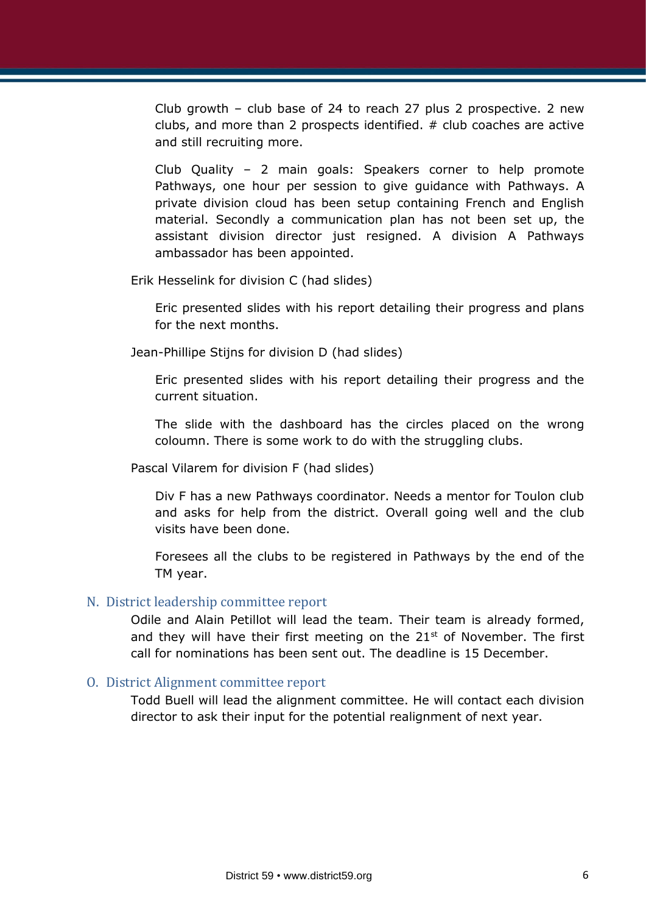Club growth – club base of 24 to reach 27 plus 2 prospective. 2 new clubs, and more than 2 prospects identified.  $#$  club coaches are active and still recruiting more.

Club Quality – 2 main goals: Speakers corner to help promote Pathways, one hour per session to give guidance with Pathways. A private division cloud has been setup containing French and English material. Secondly a communication plan has not been set up, the assistant division director just resigned. A division A Pathways ambassador has been appointed.

Erik Hesselink for division C (had slides)

Eric presented slides with his report detailing their progress and plans for the next months.

Jean-Phillipe Stijns for division D (had slides)

Eric presented slides with his report detailing their progress and the current situation.

The slide with the dashboard has the circles placed on the wrong coloumn. There is some work to do with the struggling clubs.

Pascal Vilarem for division F (had slides)

Div F has a new Pathways coordinator. Needs a mentor for Toulon club and asks for help from the district. Overall going well and the club visits have been done.

Foresees all the clubs to be registered in Pathways by the end of the TM year.

#### N. District leadership committee report

Odile and Alain Petillot will lead the team. Their team is already formed, and they will have their first meeting on the  $21<sup>st</sup>$  of November. The first call for nominations has been sent out. The deadline is 15 December.

#### O. District Alignment committee report

Todd Buell will lead the alignment committee. He will contact each division director to ask their input for the potential realignment of next year.